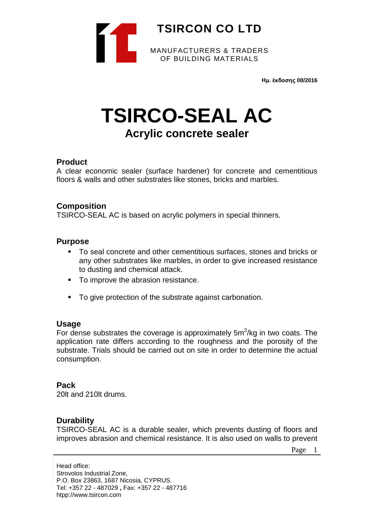

**Ημ. έκδοσης 08/2016**

# **TSIRCO-SEAL AC Acrylic concrete sealer**

# **Product**

A clear economic sealer (surface hardener) for concrete and cementitious floors & walls and other substrates like stones, bricks and marbles.

# **Composition**

TSIRCO-SEAL AC is based on acrylic polymers in special thinners.

### **Purpose**

- To seal concrete and other cementitious surfaces, stones and bricks or any other substrates like marbles, in order to give increased resistance to dusting and chemical attack.
- To improve the abrasion resistance.
- To give protection of the substrate against carbonation.

#### **Usage**

For dense substrates the coverage is approximately  $5m^2/kg$  in two coats. The application rate differs according to the roughness and the porosity of the substrate. Trials should be carried out on site in order to determine the actual consumption.

# **Pack**

20lt and 210lt drums.

# **Durability**

TSIRCO-SEAL AC is a durable sealer, which prevents dusting of floors and improves abrasion and chemical resistance. It is also used on walls to prevent

Page 1

Head office: Strovolos Industrial Zone, P.O. Box 23863, 1687 Nicosia, CYPRUS. Tel: +357 22 - 487029 **,** Fax: +357 22 - 487716 htpp://www.tsircon.com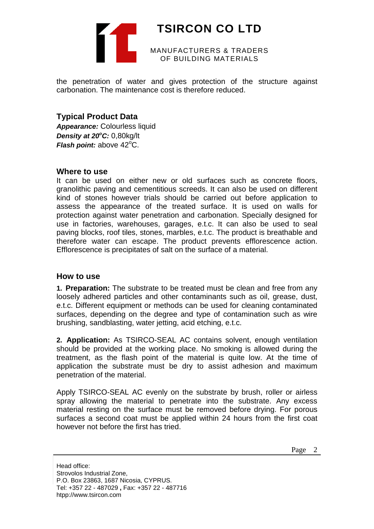

# **TSIRCON CO LTD**

MANUFACTURERS & TRADERS OF BUILDING MATERIALS

the penetration of water and gives protection of the structure against carbonation. The maintenance cost is therefore reduced.

# **Typical Product Data**

*Appearance:* Colourless liquid Density at 20°C: 0,80kg/lt Flash point: above 42°C.

# **Where to use**

It can be used on either new or old surfaces such as concrete floors, granolithic paving and cementitious screeds. It can also be used on different kind of stones however trials should be carried out before application to assess the appearance of the treated surface. It is used on walls for protection against water penetration and carbonation. Specially designed for use in factories, warehouses, garages, e.t.c. It can also be used to seal paving blocks, roof tiles, stones, marbles, e.t.c. The product is breathable and therefore water can escape. The product prevents efflorescence action. Efflorescence is precipitates of salt on the surface of a material.

# **How to use**

**1. Preparation:** The substrate to be treated must be clean and free from any loosely adhered particles and other contaminants such as oil, grease, dust, e.t.c. Different equipment or methods can be used for cleaning contaminated surfaces, depending on the degree and type of contamination such as wire brushing, sandblasting, water jetting, acid etching, e.t.c.

**2. Application:** As TSIRCO-SEAL AC contains solvent, enough ventilation should be provided at the working place. No smoking is allowed during the treatment, as the flash point of the material is quite low. At the time of application the substrate must be dry to assist adhesion and maximum penetration of the material.

Apply TSIRCO-SEAL AC evenly on the substrate by brush, roller or airless spray allowing the material to penetrate into the substrate. Any excess material resting on the surface must be removed before drying. For porous surfaces a second coat must be applied within 24 hours from the first coat however not before the first has tried.

Page 2

Head office: Strovolos Industrial Zone, P.O. Box 23863, 1687 Nicosia, CYPRUS. Tel: +357 22 - 487029 **,** Fax: +357 22 - 487716 htpp://www.tsircon.com